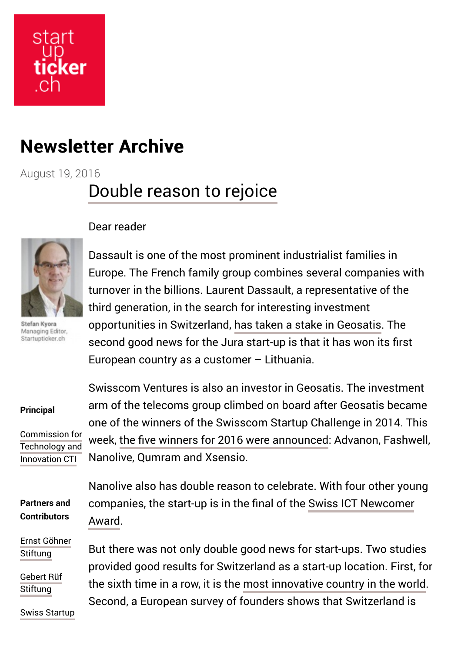# start cker

## **Newsletter Archive**

August 19, 2016

## [Double reason to rejoice](http://www.startupticker.ch/en/news/august-2016/double-reason-to-rejoice?utm_source=newsletter214&utm_medium=email&utm_campaign=newsletter214)

Stefan Kvora Managing Editor, Startupticker.ch

### Dear reader

Dassault is one of the most prominent industrialist families in Europe. The French family group combines several companies with turnover in the billions. Laurent Dassault, a representative of the third generation, in the search for interesting investment opportunities in Switzerland, [has taken a stake in Geosatis.](http://startupticker.ch/en/news/august-2016/geosatis-signs-lithuania-and-welcomes-laurent-dassault-in-its-capital) The second good news for the Jura start-up is that it has won its first European country as a customer – Lithuania.

### **Principal**

[Commission for](https://www.kti.admin.ch/kti/en/home.html) Technology and Innovation CTI

Swisscom Ventures is also an investor in Geosatis. The investment arm of the telecoms group climbed on board after Geosatis became one of the winners of the Swisscom Startup Challenge in 2014. This week, [the five winners for 2016 were announced:](http://startupticker.ch/en/news/august-2016/winners-of-the-swisscom-startup-challenge-2016-have-been-selected) Advanon, Fashwell, Nanolive, Qumram and Xsensio.

**Partners and Contributors**

[Ernst Göhner](http://www.ernst-goehner-stiftung.ch/) **Stiftung** 

[Gebert Rüf](http://www.grstiftung.ch/de.html) **Stiftung** 

[Swiss Startup](http://www.swiss-startup-invest.ch/)

Nanolive also has double reason to celebrate. With four other young [companies, the start-up is in the final of the Swiss ICT Newcomer](http://startupticker.ch/en/news/august-2016/sechs-startups-kampfen-um-swiss-ict-awards) Award.

But there was not only double good news for start-ups. Two studies provided good results for Switzerland as a start-up location. First, for the sixth time in a row, it is the [most innovative country in the world.](http://startupticker.ch/en/news/august-2016/switzerland-most-innovative-country-for-the-sixth-consecutive-year) Second, a European survey of founders shows that Switzerland is